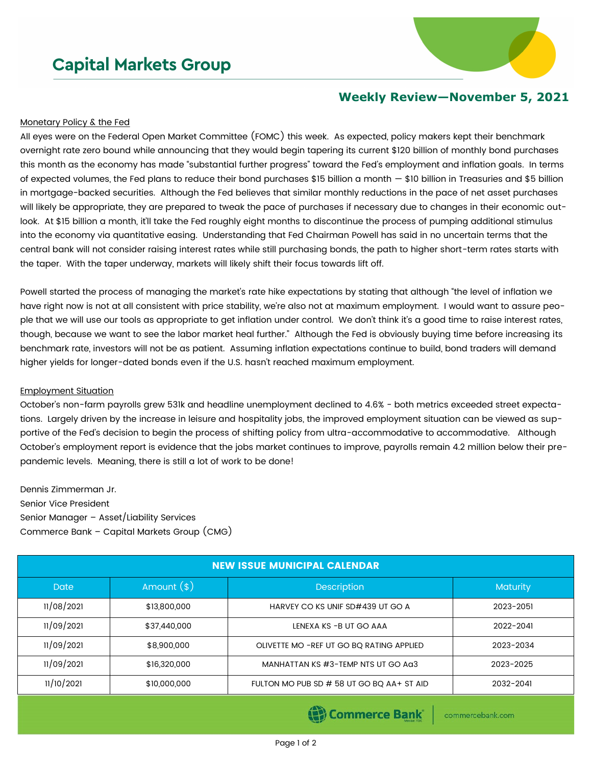## **Capital Markets Group**



## **Weekly Review—November 5, 2021**

## Monetary Policy & the Fed

All eyes were on the Federal Open Market Committee (FOMC) this week. As expected, policy makers kept their benchmark overnight rate zero bound while announcing that they would begin tapering its current \$120 billion of monthly bond purchases this month as the economy has made "substantial further progress" toward the Fed's employment and inflation goals. In terms of expected volumes, the Fed plans to reduce their bond purchases \$15 billion a month  $-$  \$10 billion in Treasuries and \$5 billion in mortgage-backed securities. Although the Fed believes that similar monthly reductions in the pace of net asset purchases will likely be appropriate, they are prepared to tweak the pace of purchases if necessary due to changes in their economic outlook. At \$15 billion a month, it'll take the Fed roughly eight months to discontinue the process of pumping additional stimulus into the economy via quantitative easing. Understanding that Fed Chairman Powell has said in no uncertain terms that the central bank will not consider raising interest rates while still purchasing bonds, the path to higher short-term rates starts with the taper. With the taper underway, markets will likely shift their focus towards lift off.

Powell started the process of managing the market's rate hike expectations by stating that although "the level of inflation we have right now is not at all consistent with price stability, we're also not at maximum employment. I would want to assure people that we will use our tools as appropriate to get inflation under control. We don't think it's a good time to raise interest rates, though, because we want to see the labor market heal further." Although the Fed is obviously buying time before increasing its benchmark rate, investors will not be as patient. Assuming inflation expectations continue to build, bond traders will demand higher yields for longer-dated bonds even if the U.S. hasn't reached maximum employment.

## Employment Situation

October's non-farm payrolls grew 531k and headline unemployment declined to 4.6% - both metrics exceeded street expectations. Largely driven by the increase in leisure and hospitality jobs, the improved employment situation can be viewed as supportive of the Fed's decision to begin the process of shifting policy from ultra-accommodative to accommodative. Although October's employment report is evidence that the jobs market continues to improve, payrolls remain 4.2 million below their prepandemic levels. Meaning, there is still a lot of work to be done!

Dennis Zimmerman Jr. Senior Vice President Senior Manager – Asset/Liability Services Commerce Bank – Capital Markets Group (CMG)

| <b>NEW ISSUE MUNICIPAL CALENDAR</b> |               |                                           |                 |  |  |  |  |
|-------------------------------------|---------------|-------------------------------------------|-----------------|--|--|--|--|
| <b>Date</b>                         | Amount $(\$)$ | <b>Description</b>                        | <b>Maturity</b> |  |  |  |  |
| 11/08/2021                          | \$13,800,000  | HARVEY CO KS UNIF SD#439 UT GO A          | 2023-2051       |  |  |  |  |
| 11/09/2021                          | \$37,440,000  | LENEXA KS -B UT GO AAA                    | 2022-2041       |  |  |  |  |
| 11/09/2021                          | \$8,900,000   | OLIVETTE MO - REF UT GO BQ RATING APPLIED | 2023-2034       |  |  |  |  |
| 11/09/2021                          | \$16,320,000  | MANHATTAN KS #3-TEMP NTS UT GO Aa3        | 2023-2025       |  |  |  |  |
| 11/10/2021                          | \$10,000,000  | FULTON MO PUB SD # 58 UT GO BQ AA+ ST AID | 2032-2041       |  |  |  |  |

Commerce Bank

commercebank.com